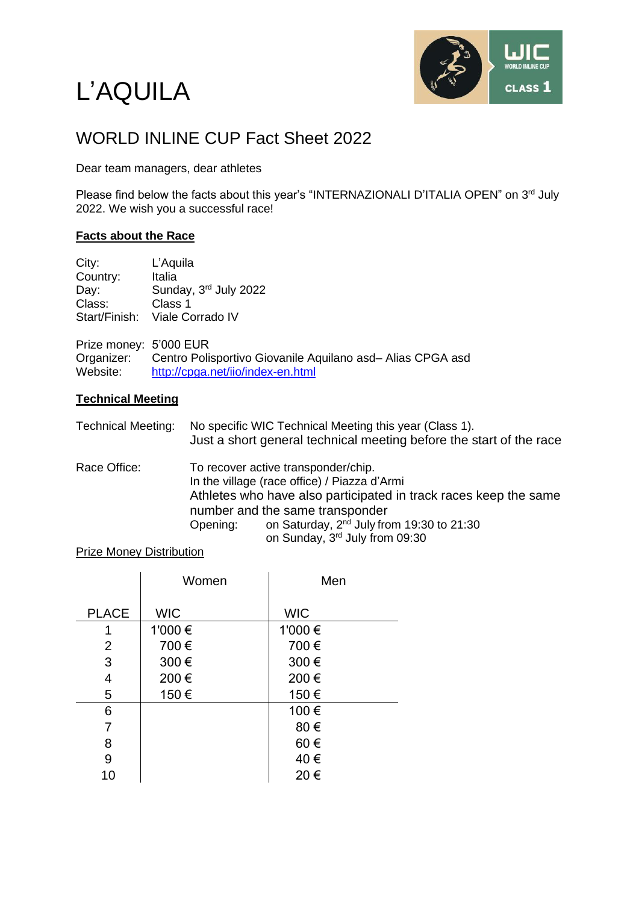# L'AQUILA



# WORLD INLINE CUP Fact Sheet 2022

Dear team managers, dear athletes

Please find below the facts about this year's "INTERNAZIONALI D'ITALIA OPEN" on 3<sup>rd</sup> July 2022. We wish you a successful race!

## **Facts about the Race**

| City:                  | L'Aquila                                                  |
|------------------------|-----------------------------------------------------------|
| Country:               | Italia                                                    |
| Day:                   | Sunday, 3rd July 2022                                     |
| Class:                 | Class 1                                                   |
| Start/Finish:          | Viale Corrado IV                                          |
| Prize money: 5'000 EUR |                                                           |
| Organizer:             | Centro Polisportivo Giovanile Aquilano asd-Alias CPGA asd |
| Website:               | http://cpga.net/iio/index-en.html                         |
|                        |                                                           |

## **Technical Meeting**

| Technical Meeting: No specific WIC Technical Meeting this year (Class 1). |  |  |
|---------------------------------------------------------------------------|--|--|
| Just a short general technical meeting before the start of the race       |  |  |

Race Office: To recover active transponder/chip. In the village (race office) / Piazza d'Armi Athletes who have also participated in track races keep the same number and the same transponder<br>Opening: on Saturday,  $2<sup>nd</sup>$  July fro Opening: on Saturday,  $2^{nd}$  July from 19:30 to 21:30 on Sunday, 3 rd July from 09:30

#### Prize Money Distribution

|              | Women      | Men        |
|--------------|------------|------------|
| <b>PLACE</b> | <b>WIC</b> | <b>WIC</b> |
| 1            | 1'000 €    | 1'000 €    |
| 2            | 700€       | 700€       |
| 3            | 300€       | 300€       |
| 4            | 200€       | 200€       |
| 5            | 150€       | 150€       |
| 6            |            | 100€       |
| 7            |            | 80€        |
| 8            |            | 60€        |
| 9            |            | 40€        |
| 10           |            | 20€        |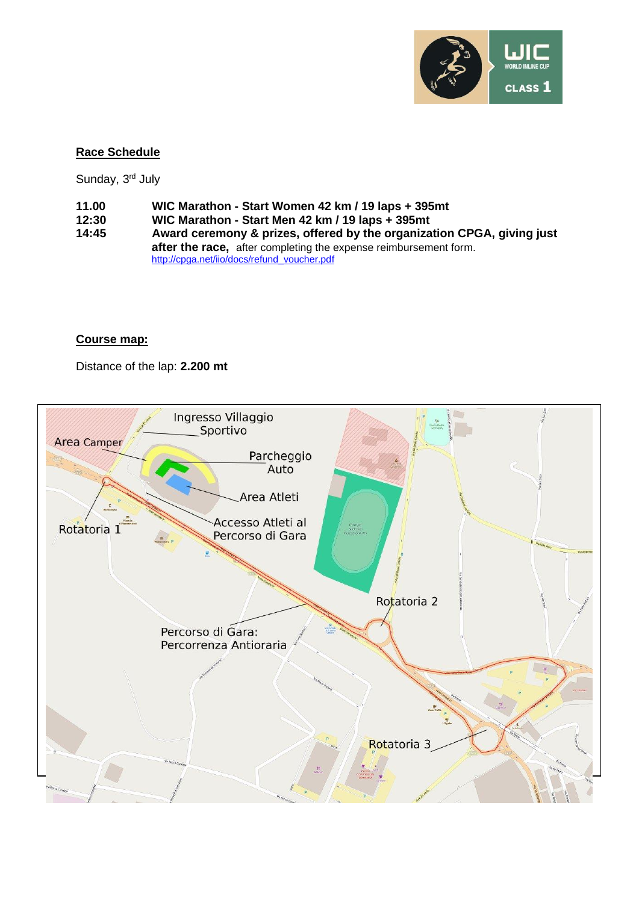

# **Race Schedule**

Sunday, 3<sup>rd</sup> July

- **11.00 WIC Marathon - Start Women 42 km / 19 laps + 395mt**
	-
- **12:30 WIC Marathon - Start Men 42 km / 19 laps + 395mt 14:45 Award ceremony & prizes, offered by the organization CPGA, giving just after the race,** after completing the expense reimbursement form. [http://cpga.net/iio/docs/refund\\_voucher.pdf](http://cpga.net/iio/docs/refund_voucher.pdf)

# **Course map:**

Distance of the lap: **2.200 mt**

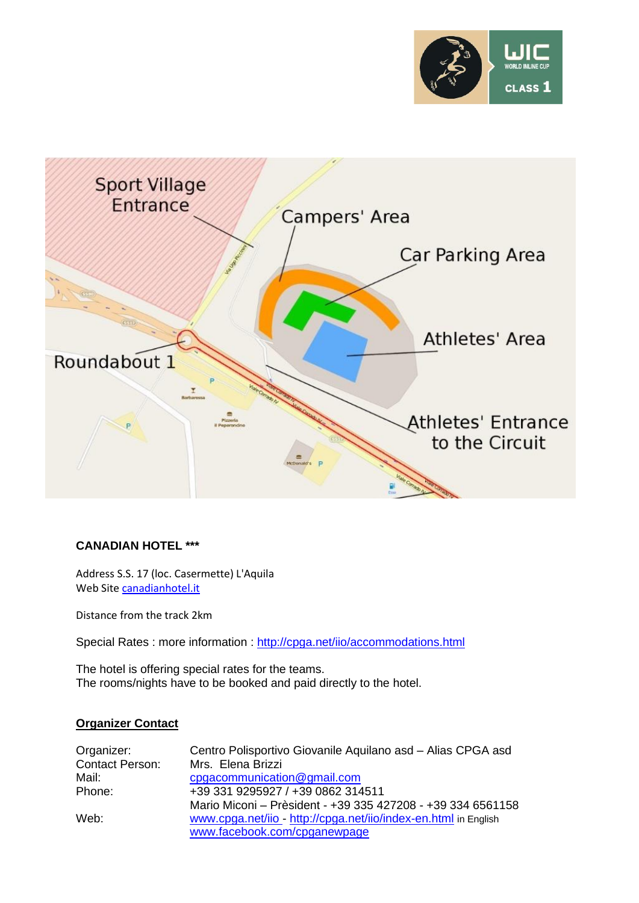



#### **CANADIAN HOTEL \*\*\***

Address S.S. 17 (loc. Casermette) L'Aquila Web Site [canadianhotel.it](http://www.canadianhotel.it/)

Distance from the track 2km

Special Rates : more information :<http://cpga.net/iio/accommodations.html>

The hotel is offering special rates for the teams. The rooms/nights have to be booked and paid directly to the hotel.

#### **Organizer Contact**

| Organizer:             | Centro Polisportivo Giovanile Aquilano asd - Alias CPGA asd     |  |
|------------------------|-----------------------------------------------------------------|--|
| <b>Contact Person:</b> | Mrs. Elena Brizzi                                               |  |
| Mail:                  | cpgacommunication@gmail.com                                     |  |
| Phone:                 | +39 331 9295927 / +39 0862 314511                               |  |
|                        | Mario Miconi - Prèsident - +39 335 427208 - +39 334 6561158     |  |
| Web:                   | www.cpga.net/iio - http://cpga.net/iio/index-en.html in English |  |
|                        | www.facebook.com/cpganewpage                                    |  |